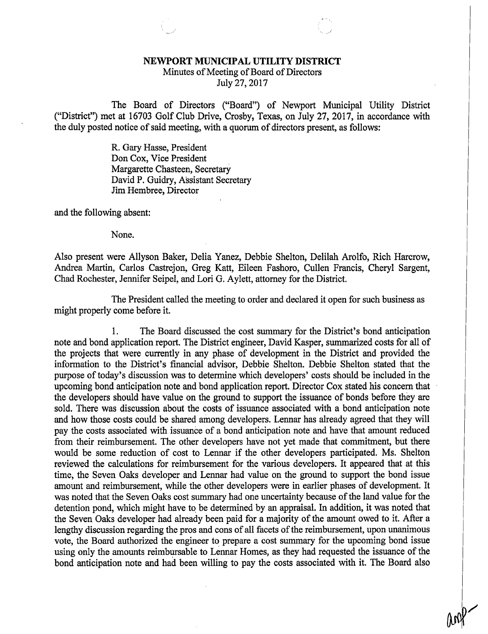## NEWPORT MUNICIPAL UTILITY DISTRICT

Minutes of Meeting of Board of Directors July 27, 2017

The Board of Directors ("Board") of Newport Municipal Utility District ("District") met at 16703 Golf Club Drive, Crosby, Texas, on July 27, 2017, in accordance with the duly posted notice of said meeting, with a quorum of directors present, as follows:

> R. Gary Hasse, President Don Cox, Vice President Margarette Chasteen, Secretary David P. Guidry, Assistant Secretary Jim Hembree, Director

and the following absent:

None.

Also present were Allyson Baker, Delia Yanez, Debbie Shelton, Delilah Arolfo, Rich Harcrow, Andrea Martin, Carlos Castrejon, Greg Katt, Eileen Fashoro, Cullen Francis, Cheryl Sargent, Chad Rochester, Jennifer Seipel, and Lori G. Aylett, attorney for the District.

The President called the meeting to order and declared it open for such business as might properly come before it.

1. The Board discussed the cost summary for the District's bond anticipation note and bond application report. The District engineer, David Kasper, summarized costs for all of the projects that were currently in any phase of development in the District and provided the information to the District's financial advisor, Debbie Shelton. Debbie Shelton stated that the purpose of today's discussion was to determine which developers' costs should be included in the upcoming bond anticipation note and bond application report. Director Cox stated his concern that the developers should have value on the ground to support the issuance of bonds before they are sold. There was discussion about the costs of issuance associated with a bond anticipation note and how those costs could be shared among developers. Lennar has already agreed that they will pay the costs associated with issuance of a bond anticipation note and have that amount reduced from their reimbursement. The other developers have not yet made that commitment, but there would be some reduction of cost to Lennar if the other developers participated. Ms. Shelton reviewed the calculations for reimbursement for the various developers. It appeared that at this time, the Seven Oaks developer and Lennar had value on the ground to support the bond issue amount and reimbursement, while the other developers were in earlier phases of development. It was noted that the Seven Oaks cost summary had one uncertainty because of the land value for the detention pond, which might have to be determined by an appraisal. In addition, it was noted that the Seven Oaks developer had already been paid for a majority of the amount owed to it. After a lengthy discussion regarding the pros and cons of all facets of the reimbursement, upon unanimous vote, the Board authorized the engineer to prepare a cost summary for the upcoming bond issue using only the amounts reimbursable to Lennar Homes, as they had requested the issuance of the bond anticipation note and had been willing to pay the costs associated with it. The Board also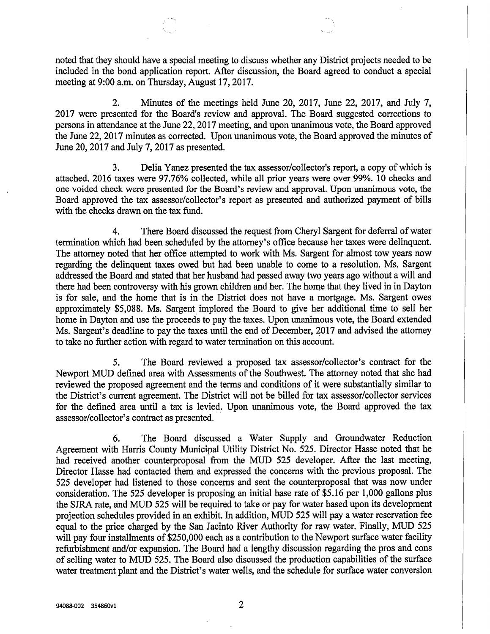noted that they should have a special meeting to discuss whether any District projects needed to be included in the bond application report. After discussion, the Board agreed to conduct a special meeting at 9:00 a.m. on Thursday, August 17, 2017.

2. Minutes of the meetings held June 20, 2017, June 22, 2017, and July 7, 2017 were presented for the Board's review and approval. The Board suggested corrections to persons in attendance at the June 22, 2017 meeting, and upon unanimous vote, the Board approved the June 22, 2017 minutes as corrected. Upon unanimous vote, the Board approved the minutes of June 20, 2017 and July 7, 2017 as presented.

3. Delia Yanez presented the tax assessor/collector's report, a copy of which is attached. 2016 taxes were 97.76% collected, while all prior years were over 99%. 10 checks and one voided check were presented for the Board's review and approval. Upon unanimous vote, the Board approved the tax assessor/collector's report as presented and authorized payment of bills with the checks drawn on the tax fund.

4. There Board discussed the request from Cheryl Sargent for deferral of water termination which had been scheduled by the attorney's office because her taxes were delinquent. The attorney noted that her office attempted to work with Ms. Sargent for almost tow years now regarding the delinquent taxes owed but had been unable to come to a resolution. Ms. Sargent addressed the Board and stated that her husband had passed away two years ago without a will and there had been controversy with his grown children and her. The home that they lived in in Dayton is for sale, and the home that is in the District does not have a mortgage. Ms. Sargent owes approximately \$5,088. Ms. Sargent implored the Board to give her additional time to sell her home in Dayton and use the proceeds to pay the taxes. Upon unanimous vote, the Board extended Ms. Sargent's deadline to pay the taxes until the end of December, 2017 and advised the attorney to take no further action with regard to water termination on this account.

5. The Board reviewed a proposed tax assessor/collector's contract for the Newport MUD defined area with Assessments of the Southwest. The attorney noted that she had reviewed the proposed agreement and the terms and conditions of it were substantially similar to the District's current agreement. The District will not be billed for tax assessor/collector services for the defined area until a tax is levied. Upon unanimous vote, the Board approved the tax assessor/collector's contract as presented.

6. The Board discussed a Water Supply and Groundwater Reduction Agreement with Harris County Municipal Utility District No. 525. Director Hasse noted that he had received another counterproposal from the MUD 525 developer. After the last meeting, Director Hasse had contacted them and expressed the concerns with the previous proposal. The 525 developer had listened to those concerns and sent the counterproposal that was now under consideration. The 525 developer is proposing an initial base rate of \$5.16 per 1,000 gallons plus the SJRA rate, and MUD 525 will be required to take or pay for water based upon its development projection schedules provided in an exhibit. In addition, MUD 525 will pay a water reservation fee equal to the price charged by the San Jacinto River Authority for raw water. Finally, MUD 525 will pay four installments of \$250,000 each as a contribution to the Newport surface water facility refurbishment and/or expansion. The Board had a lengthy discussion regarding the pros and cons of selling water to MUD 525. The Board also discussed the production capabilities of the surface water treatment plant and the District's water wells, and the schedule for surface water conversion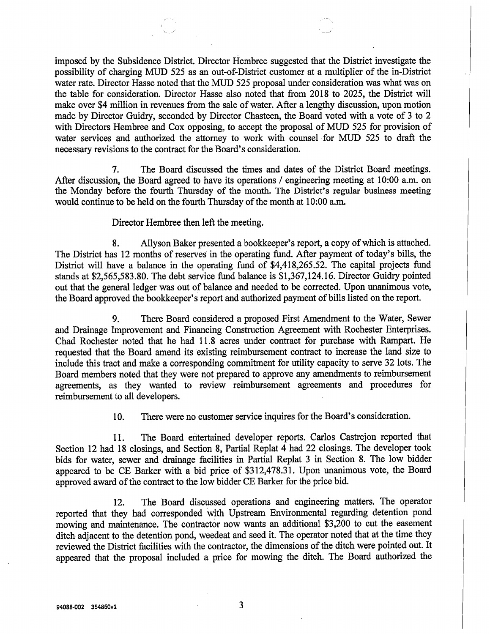imposed by the Subsidence District. Director Hembree suggested that the District investigate the possibility of charging MUD 525 as an out-of-District customer at a multiplier of the in-District water rate. Director Hasse noted that the MUD 525 proposal under consideration was what was on the table for consideration. Director Hasse also noted that from 2018 to 2025, the District will make over \$4 million in revenues from the sale of water. After a lengthy discussion, upon motion made by Director Guidry, seconded by Director Chasteen, the Board voted with a vote of 3 to 2 with Directors Hembree and Cox opposing, to accept the proposal of MUD 525 for provision of water services and authorized the attorney to work with counsel for MUD 525 to draft the necessary revisions to the contract for the Board's consideration.

7. The Board discussed the times and dates of the District Board meetings. After discussion, the Board agreed to have its operations / engineering meeting at 10:00 a.m. on the Monday before the fourth Thursday of the month. The District's regular business meeting would continue to be held on the fourth Thursday of the month at 10:00 a.m.

Director Hembree then left the meeting.

8. Allyson Baker presented a bookkeeper's report, a copy of which is attached. The District has 12 months of reserves in the operating fund. After payment of today's bills, the District will have a balance in the operating fund of \$4,418,265.52. The capital projects fund stands at \$2,565,583.80. The debt service fund balance is \$1,367,124.16. Director Guidry pointed out that the general ledger was out of balance and needed to be corrected. Upon unanimous vote, the Board approved the bookkeeper's report and authorized payment of bills listed on the report.

9. There Board considered a proposed First Amendment to the Water, Sewer and Drainage Improvement and Financing Construction Agreement with Rochester Enterprises. Chad Rochester noted that he had 11.8 acres under contract for purchase with Rampart. He requested that the Board amend its existing reimbursement contract to increase the land size to include this tract and make a corresponding commitment for utility capacity to serve 32 lots. The Board members noted that they were not prepared to approve any amendments to reimbursement agreements, as they wanted to review reimbursement agreements and procedures for reimbursement to all developers.

10. There were no customer service inquires for the Board's consideration.

11. The Board entertained developer reports. Carlos Castrejon reported that Section 12 had 18 closings, and Section 8, Partial Replat 4 had 22 closings. The developer took bids for water, sewer and drainage facilities in Partial Replat 3 in Section 8. The low bidder appeared to be CE Barker with a bid price of \$312,478.31. Upon unanimous vote, the Board approved award of the contract to the low bidder CE Barker for the price bid.

12. The Board discussed operations and engineering matters. The operator reported that they had corresponded with Upstream Environmental regarding detention pond mowing and maintenance. The contractor now wants an additional \$3,200 to cut the easement ditch adjacent to the detention pond, weedeat and seed it. The operator noted that at the time they reviewed the District facilities with the contractor, the dimensions of the ditch were pointed out. It appeared that the proposal included a price for mowing the ditch. The Board authorized the